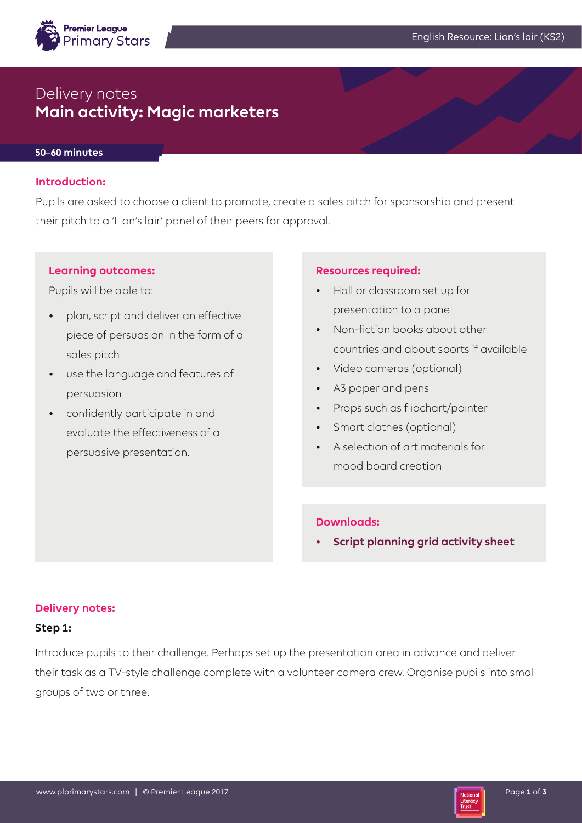

# Delivery notes **Main activity: Magic marketers**

## **50–60 minutes**

## **Introduction:**

Pupils are asked to choose a client to promote, create a sales pitch for sponsorship and present their pitch to a 'Lion's lair' panel of their peers for approval.

#### **Learning outcomes:**

Pupils will be able to:

- plan, script and deliver an effective piece of persuasion in the form of a sales pitch
- use the language and features of persuasion
- confidently participate in and evaluate the effectiveness of a persuasive presentation.

#### **Resources required:**

- Hall or classroom set up for presentation to a panel
- Non-fiction books about other countries and about sports if available
- Video cameras (optional)
- A3 paper and pens
- Props such as flipchart/pointer
- Smart clothes (optional)
- A selection of art materials for mood board creation

# **Downloads:**

**• Script planning grid activity sheet**

## **Delivery notes:**

## **Step 1:**

Introduce pupils to their challenge. Perhaps set up the presentation area in advance and deliver their task as a TV-style challenge complete with a volunteer camera crew. Organise pupils into small groups of two or three.

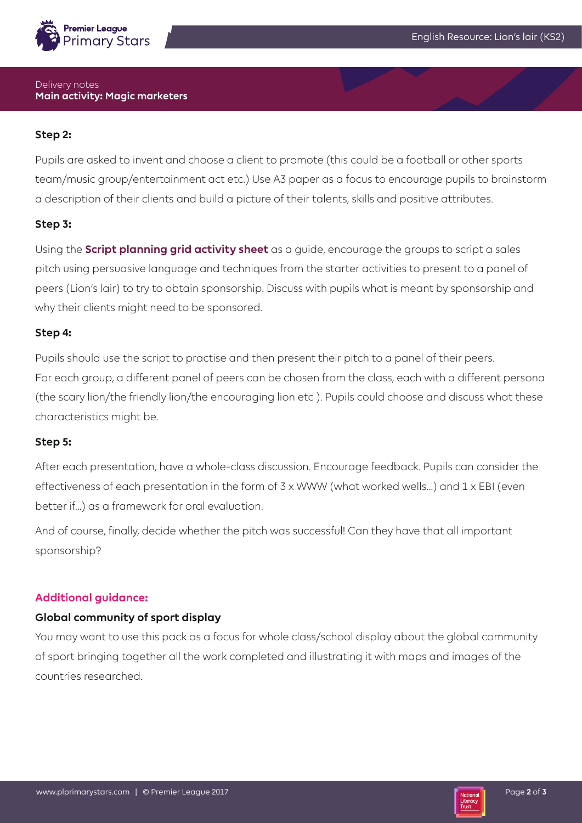

## Delivery notes **Main activity: Magic marketers**

# **Step 2:**

Pupils are asked to invent and choose a client to promote (this could be a football or other sports team/music group/entertainment act etc.) Use A3 paper as a focus to encourage pupils to brainstorm a description of their clients and build a picture of their talents, skills and positive attributes.

# **Step 3:**

Using the **Script planning grid activity sheet** as a guide, encourage the groups to script a sales pitch using persuasive language and techniques from the starter activities to present to a panel of peers (Lion's lair) to try to obtain sponsorship. Discuss with pupils what is meant by sponsorship and why their clients might need to be sponsored.

# **Step 4:**

Pupils should use the script to practise and then present their pitch to a panel of their peers. For each group, a different panel of peers can be chosen from the class, each with a different persona (the scary lion/the friendly lion/the encouraging lion etc ). Pupils could choose and discuss what these characteristics might be.

# **Step 5:**

After each presentation, have a whole-class discussion. Encourage feedback. Pupils can consider the effectiveness of each presentation in the form of 3 x WWW (what worked wells…) and 1 x EBI (even better if…) as a framework for oral evaluation.

And of course, finally, decide whether the pitch was successful! Can they have that all important sponsorship?

# **Additional guidance:**

# **Global community of sport display**

You may want to use this pack as a focus for whole class/school display about the global community of sport bringing together all the work completed and illustrating it with maps and images of the countries researched.